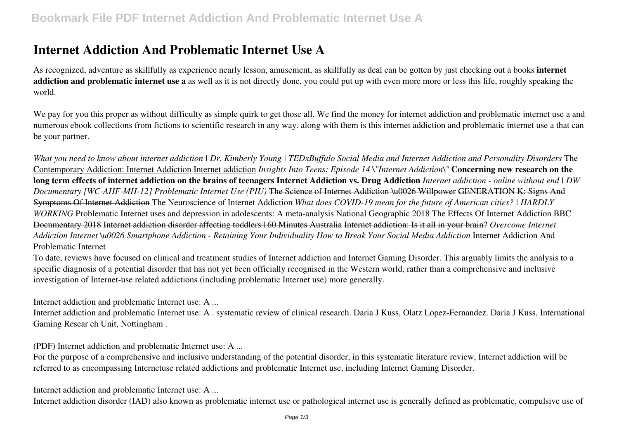# **Internet Addiction And Problematic Internet Use A**

As recognized, adventure as skillfully as experience nearly lesson, amusement, as skillfully as deal can be gotten by just checking out a books **internet addiction and problematic internet use a** as well as it is not directly done, you could put up with even more more or less this life, roughly speaking the world.

We pay for you this proper as without difficulty as simple quirk to get those all. We find the money for internet addiction and problematic internet use a and numerous ebook collections from fictions to scientific research in any way. along with them is this internet addiction and problematic internet use a that can be your partner.

*What you need to know about internet addiction | Dr. Kimberly Young | TEDxBuffalo Social Media and Internet Addiction and Personality Disorders* The Contemporary Addiction: Internet Addiction Internet addiction *Insights Into Teens: Episode 14 \"Internet Addiction\"* **Concerning new research on the long term effects of internet addiction on the brains of teenagers Internet Addiction vs. Drug Addiction** *Internet addiction - online without end | DW Documentary [WC-AHF-MH-12] Problematic Internet Use (PIU)* The Science of Internet Addiction \u0026 Willpower GENERATION K: Signs And Symptoms Of Internet Addiction The Neuroscience of Internet Addiction *What does COVID-19 mean for the future of American cities? | HARDLY WORKING* Problematic Internet uses and depression in adolescents: A meta-analysis National Geographic 2018 The Effects Of Internet Addiction BBC Documentary 2018 Internet addiction disorder affecting toddlers | 60 Minutes Australia Internet addiction: Is it all in your brain? *Overcome Internet Addiction Internet \u0026 Smartphone Addiction - Retaining Your Individuality How to Break Your Social Media Addiction* Internet Addiction And Problematic Internet

To date, reviews have focused on clinical and treatment studies of Internet addiction and Internet Gaming Disorder. This arguably limits the analysis to a specific diagnosis of a potential disorder that has not yet been officially recognised in the Western world, rather than a comprehensive and inclusive investigation of Internet-use related addictions (including problematic Internet use) more generally.

Internet addiction and problematic Internet use: A ...

Internet addiction and problematic Internet use: A . systematic review of clinical research. Daria J Kuss, Olatz Lopez-Fernandez. Daria J Kuss, International Gaming Resear ch Unit, Nottingham .

(PDF) Internet addiction and problematic Internet use: A ...

For the purpose of a comprehensive and inclusive understanding of the potential disorder, in this systematic literature review, Internet addiction will be referred to as encompassing Internetuse related addictions and problematic Internet use, including Internet Gaming Disorder.

Internet addiction and problematic Internet use: A ...

Internet addiction disorder (IAD) also known as problematic internet use or pathological internet use is generally defined as problematic, compulsive use of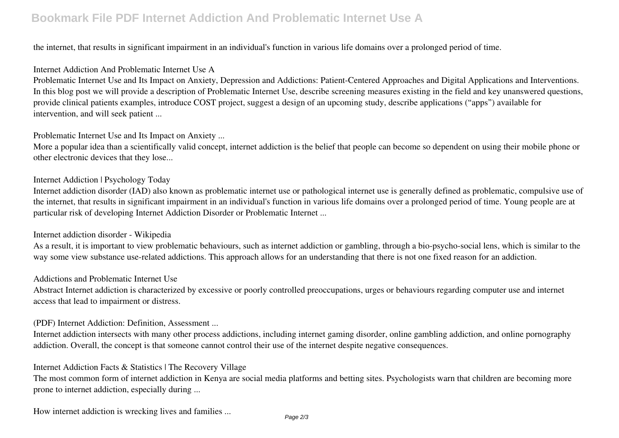# **Bookmark File PDF Internet Addiction And Problematic Internet Use A**

the internet, that results in significant impairment in an individual's function in various life domains over a prolonged period of time.

#### Internet Addiction And Problematic Internet Use A

Problematic Internet Use and Its Impact on Anxiety, Depression and Addictions: Patient-Centered Approaches and Digital Applications and Interventions. In this blog post we will provide a description of Problematic Internet Use, describe screening measures existing in the field and key unanswered questions, provide clinical patients examples, introduce COST project, suggest a design of an upcoming study, describe applications ("apps") available for intervention, and will seek patient ...

Problematic Internet Use and Its Impact on Anxiety ...

More a popular idea than a scientifically valid concept, internet addiction is the belief that people can become so dependent on using their mobile phone or other electronic devices that they lose...

### Internet Addiction | Psychology Today

Internet addiction disorder (IAD) also known as problematic internet use or pathological internet use is generally defined as problematic, compulsive use of the internet, that results in significant impairment in an individual's function in various life domains over a prolonged period of time. Young people are at particular risk of developing Internet Addiction Disorder or Problematic Internet ...

#### Internet addiction disorder - Wikipedia

As a result, it is important to view problematic behaviours, such as internet addiction or gambling, through a bio-psycho-social lens, which is similar to the way some view substance use-related addictions. This approach allows for an understanding that there is not one fixed reason for an addiction.

#### Addictions and Problematic Internet Use

Abstract Internet addiction is characterized by excessive or poorly controlled preoccupations, urges or behaviours regarding computer use and internet access that lead to impairment or distress.

#### (PDF) Internet Addiction: Definition, Assessment ...

Internet addiction intersects with many other process addictions, including internet gaming disorder, online gambling addiction, and online pornography addiction. Overall, the concept is that someone cannot control their use of the internet despite negative consequences.

#### Internet Addiction Facts & Statistics | The Recovery Village

The most common form of internet addiction in Kenya are social media platforms and betting sites. Psychologists warn that children are becoming more prone to internet addiction, especially during ...

How internet addiction is wrecking lives and families ...